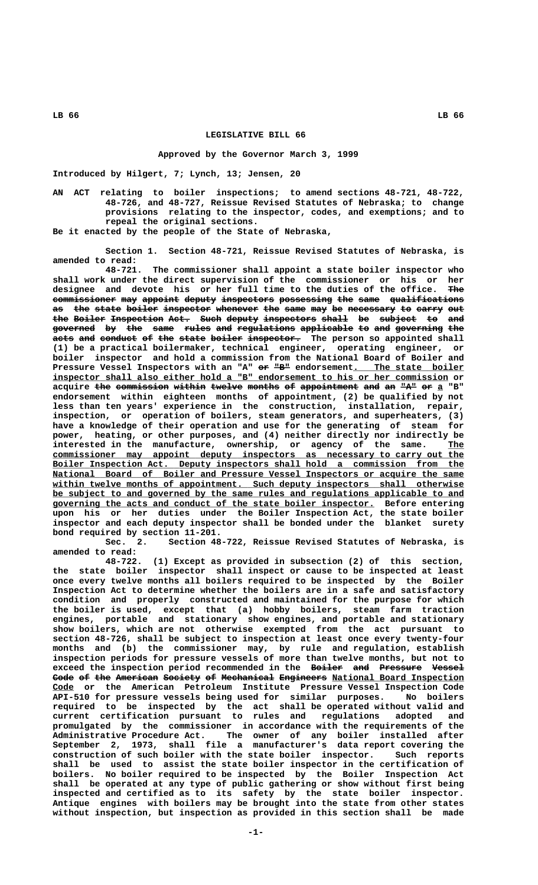## **LEGISLATIVE BILL 66**

## **Approved by the Governor March 3, 1999**

**Introduced by Hilgert, 7; Lynch, 13; Jensen, 20**

**AN ACT relating to boiler inspections; to amend sections 48-721, 48-722, 48-726, and 48-727, Reissue Revised Statutes of Nebraska; to change provisions relating to the inspector, codes, and exemptions; and to repeal the original sections.**

**Be it enacted by the people of the State of Nebraska,**

**Section 1. Section 48-721, Reissue Revised Statutes of Nebraska, is amended to read:**

**48-721. The commissioner shall appoint a state boiler inspector who shall work under the direct supervision of the commissioner or his or her designee and devote his or her full time to the duties of the office. The —— commissioner may appoint deputy inspectors possessing the same qualifications ———————————— ——— ——————— —————— —————————— —————————— ——— ———— —————————————** as the state boiler inspector whenever the same may be necessary to carry out the Boiler Inspection Act. Such deputy inspectors shall be subject to and governed by the same rules and regulations applicable to and governing the  $\overline{a}$  acts and conduct of the state boiler inspector. The person so appointed shall **(1) be a practical boilermaker, technical engineer, operating engineer, or boiler inspector and hold a commission from the National Board of Boiler and** Pressure Vessel Inspectors with an "A" or "B" endorsement. The state boiler  **\_\_\_\_\_\_\_\_\_\_\_\_\_\_\_\_\_\_\_\_\_\_\_\_\_\_\_\_\_\_\_\_\_\_\_\_\_\_\_\_\_\_\_\_\_\_\_\_\_\_\_\_\_\_\_\_\_\_\_\_\_\_\_\_\_\_\_\_\_\_\_\_\_\_\_ inspector shall also either hold a "B" endorsement to his or her commission or** acquire the commission within twelve months of appointment and an "A" or a "B" **endorsement within eighteen months of appointment, (2) be qualified by not less than ten years' experience in the construction, installation, repair, inspection, or operation of boilers, steam generators, and superheaters, (3) have a knowledge of their operation and use for the generating of steam for power, heating, or other purposes, and (4) neither directly nor indirectly be** interested in the manufacture, ownership, or agency of the same. The  **\_\_\_\_\_\_\_\_\_\_\_\_\_\_\_\_\_\_\_\_\_\_\_\_\_\_\_\_\_\_\_\_\_\_\_\_\_\_\_\_\_\_\_\_\_\_\_\_\_\_\_\_\_\_\_\_\_\_\_\_\_\_\_\_\_\_\_\_\_\_\_\_\_\_\_\_\_\_ commissioner may appoint deputy inspectors as necessary to carry out the \_\_\_\_\_\_\_\_\_\_\_\_\_\_\_\_\_\_\_\_\_\_\_\_\_\_\_\_\_\_\_\_\_\_\_\_\_\_\_\_\_\_\_\_\_\_\_\_\_\_\_\_\_\_\_\_\_\_\_\_\_\_\_\_\_\_\_\_\_\_\_\_\_\_\_\_\_\_ Boiler Inspection Act. Deputy inspectors shall hold a commission from the** National Board of Boiler and Pressure Vessel Inspectors or acquire the same within twelve months of appointment. Such deputy inspectors shall otherwise  **\_\_\_\_\_\_\_\_\_\_\_\_\_\_\_\_\_\_\_\_\_\_\_\_\_\_\_\_\_\_\_\_\_\_\_\_\_\_\_\_\_\_\_\_\_\_\_\_\_\_\_\_\_\_\_\_\_\_\_\_\_\_\_\_\_\_\_\_\_\_\_\_\_\_\_\_\_\_ be subject to and governed by the same rules and regulations applicable to and \_\_\_\_\_\_\_\_\_\_\_\_\_\_\_\_\_\_\_\_\_\_\_\_\_\_\_\_\_\_\_\_\_\_\_\_\_\_\_\_\_\_\_\_\_\_\_\_\_\_\_\_\_\_\_\_\_\_\_\_\_ governing the acts and conduct of the state boiler inspector. Before entering upon his or her duties under the Boiler Inspection Act, the state boiler inspector and each deputy inspector shall be bonded under the blanket surety bond required by section 11-201.**

**Sec. 2. Section 48-722, Reissue Revised Statutes of Nebraska, is amended to read:**

**48-722. (1) Except as provided in subsection (2) of this section, the state boiler inspector shall inspect or cause to be inspected at least once every twelve months all boilers required to be inspected by the Boiler Inspection Act to determine whether the boilers are in a safe and satisfactory condition and properly constructed and maintained for the purpose for which the boiler is used, except that (a) hobby boilers, steam farm traction engines, portable and stationary show engines, and portable and stationary show boilers, which are not otherwise exempted from the act pursuant to section 48-726, shall be subject to inspection at least once every twenty-four months and (b) the commissioner may, by rule and regulation, establish inspection periods for pressure vessels of more than twelve months, but not to** exceed the inspection period recommended in the Boiler and Pressure Vessel Code of the American Society of Mechanical Engineers National Board Inspection  **\_\_\_\_ Code or the American Petroleum Institute Pressure Vessel Inspection Code API-510 for pressure vessels being used for similar purposes. No boilers required to be inspected by the act shall be operated without valid and current certification pursuant to rules and regulations adopted and promulgated by the commissioner in accordance with the requirements of the Administrative Procedure Act. The owner of any boiler installed after September 2, 1973, shall file a manufacturer's data report covering the construction of such boiler with the state boiler inspector. Such reports shall be used to assist the state boiler inspector in the certification of boilers. No boiler required to be inspected by the Boiler Inspection Act shall be operated at any type of public gathering or show without first being inspected and certified as to its safety by the state boiler inspector. Antique engines with boilers may be brought into the state from other states without inspection, but inspection as provided in this section shall be made**